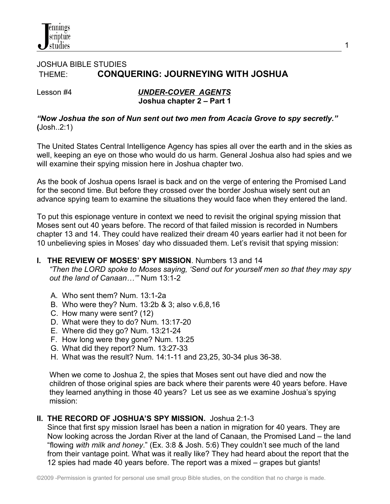

# JOSHUA BIBLE STUDIES THEME: **CONQUERING: JOURNEYING WITH JOSHUA**

Lesson #4*UNDER-COVER AGENTS*  **Joshua chapter 2 – Part 1** 1

*"Now Joshua the son of Nun sent out two men from Acacia Grove to spy secretly."* **(**Josh..2:1)

 The United States Central Intelligence Agency has spies all over the earth and in the skies as well, keeping an eye on those who would do us harm. General Joshua also had spies and we will examine their spying mission here in Joshua chapter two.

 As the book of Joshua opens Israel is back and on the verge of entering the Promised Land for the second time. But before they crossed over the border Joshua wisely sent out an advance spying team to examine the situations they would face when they entered the land.

 To put this espionage venture in context we need to revisit the original spying mission that Moses sent out 40 years before. The record of that failed mission is recorded in Numbers chapter 13 and 14. They could have realized their dream 40 years earlier had it not been for 10 unbelieving spies in Moses' day who dissuaded them. Let's revisit that spying mission:

## **I. THE REVIEW OF MOSES' SPY MISSION**. Numbers 13 and 14

 *"Then the LORD spoke to Moses saying, 'Send out for yourself men so that they may spy out the land of Canaan…'"* Num 13:1-2

- A. Who sent them? Num. 13:1-2a
- B. Who were they? Num. 13:2b & 3; also v.6,8,16
- C. How many were sent? (12)
- D. What were they to do? Num. 13:17-20
- E. Where did they go? Num. 13:21-24
- F. How long were they gone? Num. 13:25
- G. What did they report? Num. 13:27-33
- H. What was the result? Num. 14:1-11 and 23,25, 30-34 plus 36-38.

 When we come to Joshua 2, the spies that Moses sent out have died and now the children of those original spies are back where their parents were 40 years before. Have they learned anything in those 40 years? Let us see as we examine Joshua's spying mission:

## **II. THE RECORD OF JOSHUA'S SPY MISSION.** Joshua 2:1-3

 Since that first spy mission Israel has been a nation in migration for 40 years. They are Now looking across the Jordan River at the land of Canaan, the Promised Land – the land "flowing *with milk and honey*." (Ex. 3:8 & Josh. 5:6) They couldn't see much of the land from their vantage point. What was it really like? They had heard about the report that the 12 spies had made 40 years before. The report was a mixed – grapes but giants!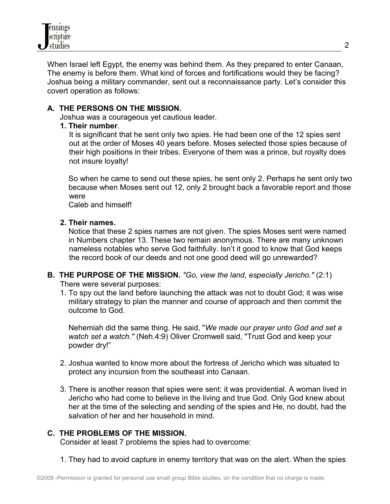

 When Israel left Egypt, the enemy was behind them. As they prepared to enter Canaan, The enemy is before them. What kind of forces and fortifications would they be facing? Joshua being a military commander, sent out a reconnaissance party. Let's consider this covert operation as follows:

## **A. THE PERSONS ON THE MISSION.**

Joshua was a courageous yet cautious leader.

## **1. Their number**.

It is significant that he sent only two spies. He had been one of the 12 spies sent out at the order of Moses 40 years before. Moses selected those spies because of their high positions in their tribes. Everyone of them was a prince, but royalty does not insure loyalty!

 So when he came to send out these spies, he sent only 2. Perhaps he sent only two because when Moses sent out 12, only 2 brought back a favorable report and those were

Caleb and himself!

## **2. Their names.**

 Notice that these 2 spies names are not given. The spies Moses sent were named in Numbers chapter 13. These two remain anonymous. There are many unknown nameless notables who serve God faithfully. Isn't it good to know that God keeps the record book of our deeds and not one good deed will go unrewarded?

#### **B. THE PURPOSE OF THE MISSION.** *"Go, view the land, especially Jericho."* (2:1) There were several purposes:

 1. To spy out the land before launching the attack was not to doubt God; it was wise military strategy to plan the manner and course of approach and then commit the outcome to God.

 Nehemiah did the same thing. He said, "*We made our prayer unto God and set a watch set a watch."* (Neh.4:9) Oliver Cromwell said, "Trust God and keep your powder dry!"

- 2. Joshua wanted to know more about the fortress of Jericho which was situated to protect any incursion from the southeast into Canaan.
- 3. There is another reason that spies were sent: it was providential. A woman lived in Jericho who had come to believe in the living and true God. Only God knew about her at the time of the selecting and sending of the spies and He, no doubt, had the salvation of her and her household in mind.

## **C. THE PROBLEMS OF THE MISSION.**

Consider at least 7 problems the spies had to overcome:

1. They had to avoid capture in enemy territory that was on the alert. When the spies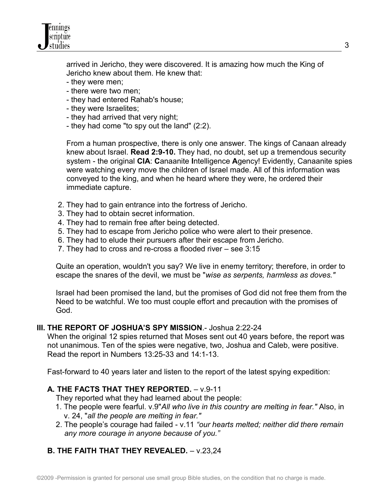

 arrived in Jericho, they were discovered. It is amazing how much the King of Jericho knew about them. He knew that:

- they were men;
- there were two men;
- they had entered Rahab's house;
- they were Israelites;
- they had arrived that very night;
- they had come "to spy out the land" (2:2).

 From a human prospective, there is only one answer. The kings of Canaan already knew about Israel. **Read 2:9-10.** They had, no doubt, set up a tremendous security system - the original **CIA**: **C**anaanite **I**ntelligence **A**gency! Evidently, Canaanite spies were watching every move the children of Israel made. All of this information was conveyed to the king, and when he heard where they were, he ordered their immediate capture.

- 2. They had to gain entrance into the fortress of Jericho.
- 3. They had to obtain secret information.
- 4. They had to remain free after being detected.
- 5. They had to escape from Jericho police who were alert to their presence.
- 6. They had to elude their pursuers after their escape from Jericho.
- 7. They had to cross and re-cross a flooded river see 3:15

 Quite an operation, wouldn't you say? We live in enemy territory; therefore, in order to escape the snares of the devil, we must be "*wise as serpents, harmless as doves."*

 Israel had been promised the land, but the promises of God did not free them from the Need to be watchful. We too must couple effort and precaution with the promises of God.

## **III. THE REPORT OF JOSHUA'S SPY MISSION**.- Joshua 2:22-24

 When the original 12 spies returned that Moses sent out 40 years before, the report was not unanimous. Ten of the spies were negative, two, Joshua and Caleb, were positive. Read the report in Numbers 13:25-33 and 14:1-13.

Fast-forward to 40 years later and listen to the report of the latest spying expedition:

# **A. THE FACTS THAT THEY REPORTED.** – v.9-11

- They reported what they had learned about the people:
- 1. The people were fearful. v.9"*All who live in this country are melting in fear."* Also, in v. 24, "*all the people are melting in fear."*
- 2. The people's courage had failed v.11 *"our hearts melted; neither did there remain any more courage in anyone because of you."*

# **B. THE FAITH THAT THEY REVEALED.** – v.23,24